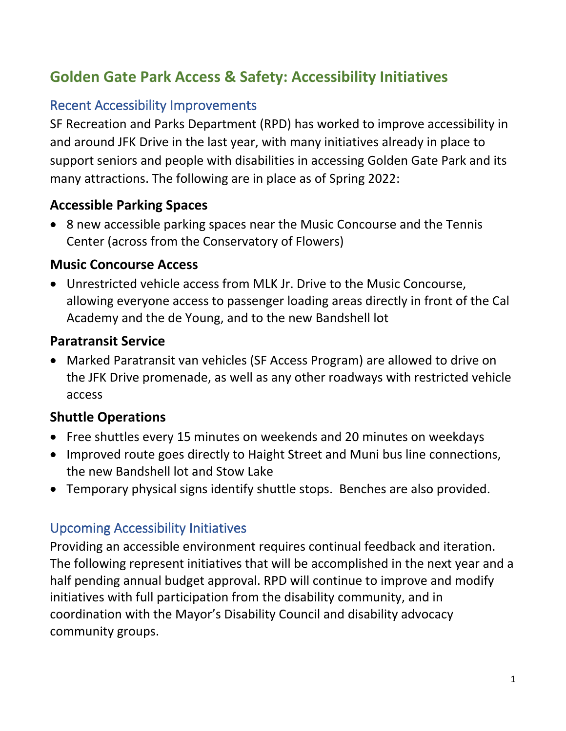# **Golden Gate Park Access & Safety: Accessibility Initiatives**

## Recent Accessibility Improvements

SF Recreation and Parks Department (RPD) has worked to improve accessibility in and around JFK Drive in the last year, with many initiatives already in place to support seniors and people with disabilities in accessing Golden Gate Park and its many attractions. The following are in place as of Spring 2022:

## **Accessible Parking Spaces**

• 8 new accessible parking spaces near the Music Concourse and the Tennis Center (across from the Conservatory of Flowers)

#### **Music Concourse Access**

• Unrestricted vehicle access from MLK Jr. Drive to the Music Concourse, allowing everyone access to passenger loading areas directly in front of the Cal Academy and the de Young, and to the new Bandshell lot

### **Paratransit Service**

• Marked Paratransit van vehicles (SF Access Program) are allowed to drive on the JFK Drive promenade, as well as any other roadways with restricted vehicle access

## **Shuttle Operations**

- Free shuttles every 15 minutes on weekends and 20 minutes on weekdays
- Improved route goes directly to Haight Street and Muni bus line connections, the new Bandshell lot and Stow Lake
- Temporary physical signs identify shuttle stops. Benches are also provided.

## Upcoming Accessibility Initiatives

Providing an accessible environment requires continual feedback and iteration. The following represent initiatives that will be accomplished in the next year and a half pending annual budget approval. RPD will continue to improve and modify initiatives with full participation from the disability community, and in coordination with the Mayor's Disability Council and disability advocacy community groups.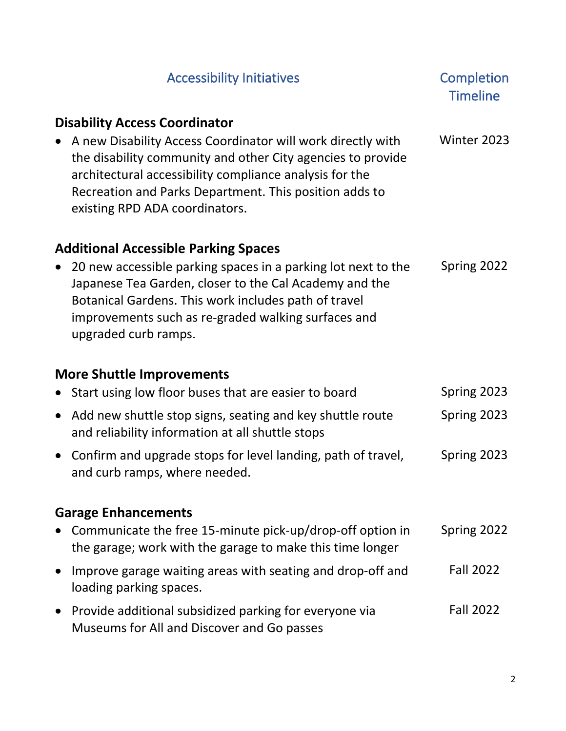|                                  | <b>Accessibility Initiatives</b>                                                                                                                                                                                                                                                                                          | Completion<br><b>Timeline</b> |  |
|----------------------------------|---------------------------------------------------------------------------------------------------------------------------------------------------------------------------------------------------------------------------------------------------------------------------------------------------------------------------|-------------------------------|--|
|                                  | <b>Disability Access Coordinator</b><br>A new Disability Access Coordinator will work directly with<br>the disability community and other City agencies to provide<br>architectural accessibility compliance analysis for the<br>Recreation and Parks Department. This position adds to<br>existing RPD ADA coordinators. | Winter 2023                   |  |
|                                  | <b>Additional Accessible Parking Spaces</b><br>20 new accessible parking spaces in a parking lot next to the<br>Japanese Tea Garden, closer to the Cal Academy and the<br>Botanical Gardens. This work includes path of travel<br>improvements such as re-graded walking surfaces and<br>upgraded curb ramps.             | Spring 2022                   |  |
| <b>More Shuttle Improvements</b> |                                                                                                                                                                                                                                                                                                                           |                               |  |
|                                  | Start using low floor buses that are easier to board                                                                                                                                                                                                                                                                      | Spring 2023                   |  |
|                                  | Add new shuttle stop signs, seating and key shuttle route<br>and reliability information at all shuttle stops                                                                                                                                                                                                             | Spring 2023                   |  |
| $\bullet$                        | Confirm and upgrade stops for level landing, path of travel,<br>and curb ramps, where needed.                                                                                                                                                                                                                             | Spring 2023                   |  |
| <b>Garage Enhancements</b>       |                                                                                                                                                                                                                                                                                                                           |                               |  |
|                                  | Communicate the free 15-minute pick-up/drop-off option in<br>the garage; work with the garage to make this time longer                                                                                                                                                                                                    | Spring 2022                   |  |
|                                  | Improve garage waiting areas with seating and drop-off and<br>loading parking spaces.                                                                                                                                                                                                                                     | <b>Fall 2022</b>              |  |
|                                  | Provide additional subsidized parking for everyone via<br>Museums for All and Discover and Go passes                                                                                                                                                                                                                      | <b>Fall 2022</b>              |  |